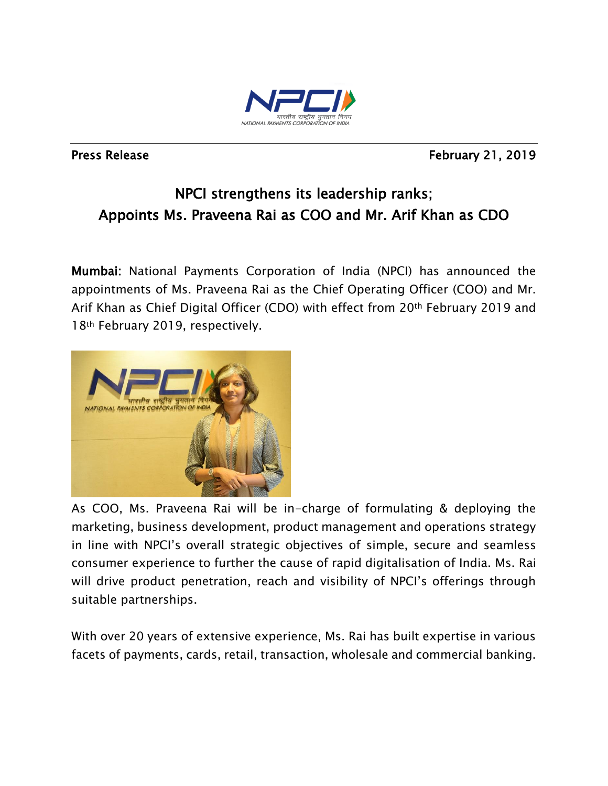

Press Release February 21, 2019

## NPCI strengthens its leadership ranks; Appoints Ms. Praveena Rai as COO and Mr. Arif Khan as CDO

Mumbai: National Payments Corporation of India (NPCI) has announced the appointments of Ms. Praveena Rai as the Chief Operating Officer (COO) and Mr. Arif Khan as Chief Digital Officer (CDO) with effect from 20th February 2019 and 18th February 2019, respectively.



As COO, Ms. Praveena Rai will be in-charge of formulating & deploying the marketing, business development, product management and operations strategy in line with NPCI's overall strategic objectives of simple, secure and seamless consumer experience to further the cause of rapid digitalisation of India. Ms. Rai will drive product penetration, reach and visibility of NPCI's offerings through suitable partnerships.

With over 20 years of extensive experience, Ms. Rai has built expertise in various facets of payments, cards, retail, transaction, wholesale and commercial banking.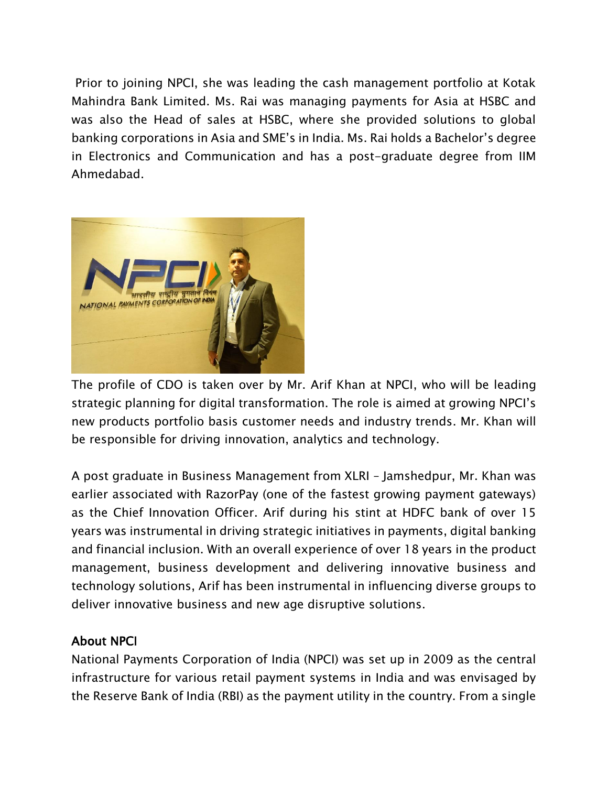Prior to joining NPCI, she was leading the cash management portfolio at Kotak Mahindra Bank Limited. Ms. Rai was managing payments for Asia at HSBC and was also the Head of sales at HSBC, where she provided solutions to global banking corporations in Asia and SME's in India. Ms. Rai holds a Bachelor's degree in Electronics and Communication and has a post-graduate degree from IIM Ahmedabad.



The profile of CDO is taken over by Mr. Arif Khan at NPCI, who will be leading strategic planning for digital transformation. The role is aimed at growing NPCI's new products portfolio basis customer needs and industry trends. Mr. Khan will be responsible for driving innovation, analytics and technology.

A post graduate in Business Management from XLRI – Jamshedpur, Mr. Khan was earlier associated with RazorPay (one of the fastest growing payment gateways) as the Chief Innovation Officer. Arif during his stint at HDFC bank of over 15 years was instrumental in driving strategic initiatives in payments, digital banking and financial inclusion. With an overall experience of over 18 years in the product management, business development and delivering innovative business and technology solutions, Arif has been instrumental in influencing diverse groups to deliver innovative business and new age disruptive solutions.

## About NPCI

National Payments Corporation of India (NPCI) was set up in 2009 as the central infrastructure for various retail payment systems in India and was envisaged by the Reserve Bank of India (RBI) as the payment utility in the country. From a single